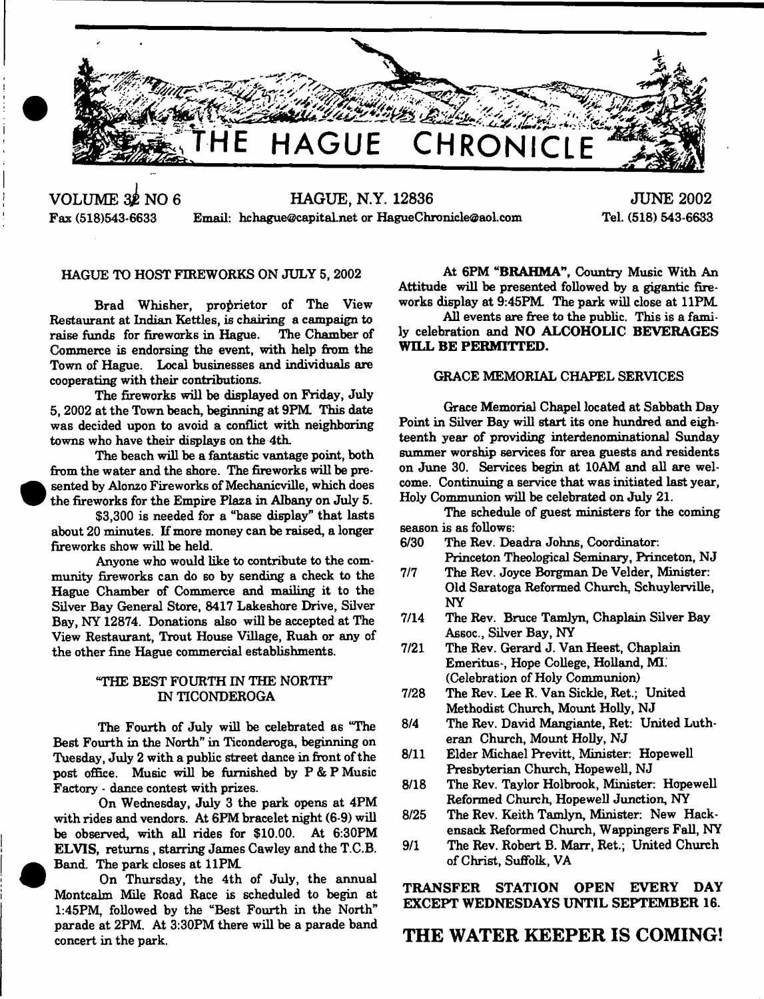

**VOLUME 32 NO 6 HAGUE, N.Y. 12836** Fax (518)543-6633 Email: [hchague@capital.net](mailto:hchague@capital.net) or HagueChronicle@aol.com

**JUNE 2002** Tel. (518) 543-6633

# HAGUE TO HOST FIREWORKS ON JULY 5, 2002

Brad Whisher, proprietor of The View Restaurant at Indian Kettles, is chairing a campaign to raise funds for fireworks in Hague. Commerce is endorsing the event, with help from the Town of Hague. Local businesses and individuals are cooperating with their contributions.

The fireworks will be displayed on Friday, July 5,2002 at the Town beach, beginning at 9FM This date was decided upon to avoid a conflict with neighboring towns who have their displays on the 4th.

The beach will be a fantastic vantage point, both from the water and the shore. The fireworks will be presented by Alonzo Fireworks of Mechanicville, which does the fireworks for the Empire Plaza in Albany on July 5.

\$3,300 is needed for a "base display" that lasts about 20 minutes. If more money can be raised, a longer fireworks show will be held.

Anyone who would like to contribute to the community fireworks can do so by sending a check to the Hague Chamber of Commerce and mailing it to the Silver Bay General Store, 8417 Lakeshore Drive, Silver Bay, NY 12874. Donations also will be accepted at The View Restaurant, Trout House Village, Ruah or any of the other fine Hague commercial establishments.

# "THE BEST FOURTH IN THE NORTH" IN TICONDEROGA

The Fourth of July will be celebrated as "The Best Fourth in the North" in Ticonderoga, beginning on Tuesday, July 2 with a public street dance in front of the post office. Music will be furnished by  $P & P$  Music Factory - dance contest with prizes.

On Wednesday, July 3 the park opens at 4PM with rides and vendors. At 6PM bracelet night (6-9) will be observed, with all rides for \$10.00. At 6:30PM ELVIS, returns, starring James Cawley and the T.C.B. Band. The park closes at 11PM

On Thursday, the 4th of July, the annual Montcalm Mile Road Race is scheduled to begin at 1:45PM, followed by the "Best Fourth in the North" parade at 2PM. At 3:30PM there will be a parade band concert in the park.

At 6PM "BRAHMA", Country Music With An Attitude will be presented followed by a gigantic fireworks display at 9:45PM The park will close at 11PM

All events are free to the public. This is a family celebration and NO ALCOHOLIC BEVERAGES WILL BE PERMITTED.

# GRACE MEMORIAL CHAPEL SERVICES

Grace Memorial Chapel located at Sabbath Day Point in Silver Bay will start its one hundred and eighteenth year of providing interdenominational Sunday summer worship services for area guests and residents on June 30. Services begin at 10AM and all are welcome. Continuing a service that was initiated last year, Holy Communion will be celebrated on July 21.

The schedule of guest ministers for the coming season is as follows:

- 6/30 The Rev. Deadra Johns, Coordinator. Princeton Theological Seminary, Princeton, NJ
- 7/7 The Rev. Joyce Borgman De Velder, Minister: Old Saratoga Reformed Church, Schuylerville, NY
- 7/14 The Rev. Bruce Tamlyn, Chaplain Silver Bay Assoc., Silver Bay, NY
- 7/21 The Rev. Gerard J. Van Heest, Chaplain Emeritus-, Hope College, Holland, ML (Celebration of Holy Communion)
- 7/28 The Rev. Lee R. Van Sickle, Ret.; United Methodist Church, Mount Holly, NJ
- 8/4 The Rev. David Mangiante, Ret: United Lutheran Church, Mount Holly, NJ
- 8/11 Elder Michael Previtt, Minister: Hopewell Presbyterian Church, Hopewell, NJ
- 8/18 The Rev. Taylor Holbrook, Minister: Hopewell Reformed Church, Hopewell Junction, NY
- 8/25 The Rev. Keith Tamlyn, Minister: New Hackensack Reformed Church, Wappingers Fall, NY
- 9/1 The Rev. Robert B. Marr, Ret.; United Church of Christ, Suffolk, VA

TRANSFER STATION OPEN EVERY DAY EXCEPT WEDNESDAYS UNTIL SEPTEMBER 16.

# **THE WATER KEEPER IS COMING!**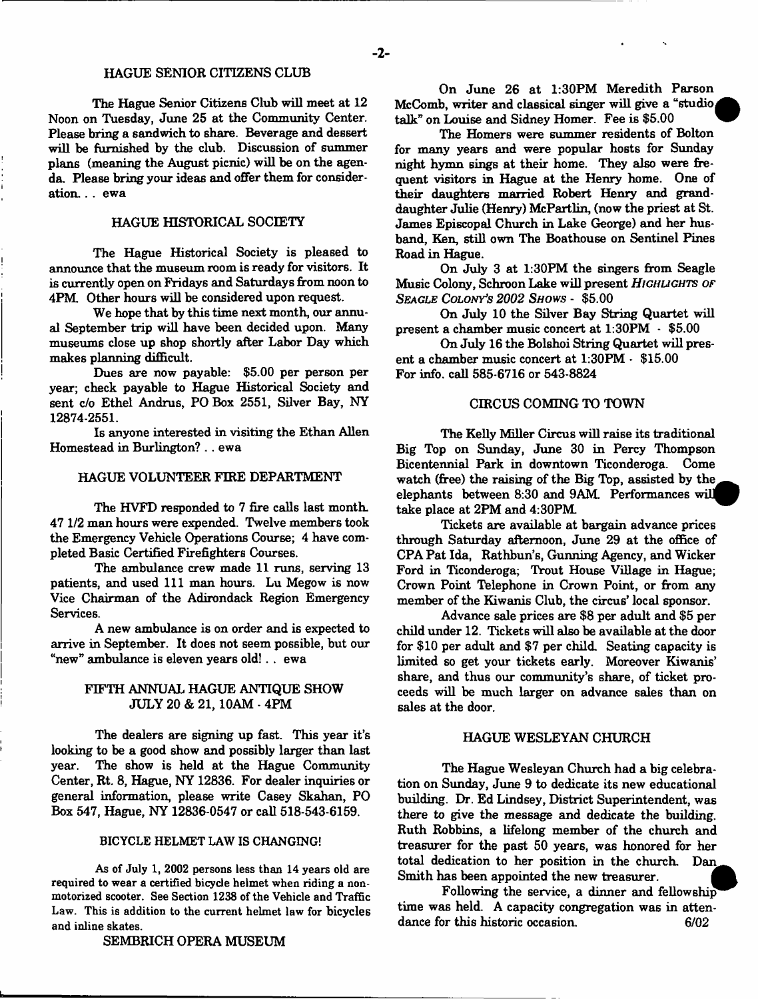The Hague Senior Citizens Club will meet at 12 Noon on Tuesday, June 25 at the Community Center. Please bring a sandwich to share. Beverage and dessert will be furnished by the club. Discussion of summer plans (meaning the August picnic) will be on the agenda. Please bring your ideas and offer them for consideration... ewa

#### HAGUE HISTORICAL SOCIETY

The Hague Historical Society is pleased to announce that the museum room is ready for visitors. It is currently open on Fridays and Saturdays from noon to 4PM. Other hours will be considered upon request.

We hope that by this time next month, our annual September trip will have been decided upon. Many museums close up shop shortly after Labor Day which makes planning difficult.

Dues are now payable: \$5.00 per person per year; check payable to Hague Historical Society and sent c/o Ethel Andrus, PO Box 2551, Silver Bay, NY 12874-2551.

Is anyone interested in visiting the Ethan Allen Homestead in Burlington? . . ewa

## HAGUE VOLUNTEER FIRE DEPARTMENT

The HVFD responded to 7 fire calls last month. 47 1/2 man hours were expended. Twelve members took the Emergency Vehicle Operations Course; 4 have completed Basic Certified Firefighters Courses.

The ambulance crew made 11 runs, serving 13 patients, and used 111 man hours. Lu Megow is now Vice Chairman of the Adirondack Region Emergency Services.

A new ambulance is on order and is expected to arrive in September. It does not seem possible, but our "new" ambulance is eleven years old!. . ewa

# FIFTH ANNUAL HAGUE ANTIQUE SHOW JULY 20 & 21, 10AM - 4PM

The dealers are signing up fast. This year it's looking to be a good show and possibly larger than last year. The show is held at the Hague Community Center, Rt. 8, Hague, NY 12836. For dealer inquiries or general information, please write Casey Skahan, PO Box 547, Hague, NY 12836-0547 or call 518-543-6159.

#### BICYCLE HELMET LAW IS CHANGING!

As of July 1, 2002 persons less than 14 years old are required to wear a certified bicycle helmet when riding a nonmotorized scooter. See Section 1238 of the Vehicle and Traffic Law. This is addition to the current helmet law for bicycles and inline skates.

#### SEMBRICH OPERA MUSEUM

On June 26 at 1:30PM Meredith Parson McComb, writer and classical singer will give a "studio talk" on Louise and Sidney Homer. Fee is \$5.00

The Homers were summer residents of Bolton for many years and were popular hosts for Sunday night hymn sings at their home. They also were frequent visitors in Hague at the Henry home. One of their daughters married Robert Henry and granddaughter Julie (Henry) McPartlin, (now the priest at St. James Episcopal Church in Lake George) and her husband, Ken, still own The Boathouse on Sentinel Pines Road in Hague.

On July 3 at 1:30PM the singers from Seagle Music Colony, Schroon Lake will present *HIGHLIGHTS OF S e a g le C o lo ny's 2 0 0 2 S h o w s* - \$5.00

On July 10 the Silver Bay String Quartet will present a chamber music concert at 1:30PM - \$5.00

On July 16 the Bolshoi String Quartet will present a chamber music concert at 1:30PM - \$15.00 For info, call 585-6716 or 543-8824

#### CIRCUS COMING TO TOWN

The Kelly Miller Circus will raise its traditional Big Top on Sunday, June 30 in Percy Thompson Bicentennial Park in downtown Ticonderoga. Come watch (free) the raising of the Big Top, assisted by the elephants between 8:30 and 9AM. Performances will take place at 2PM and 4:30PM

Tickets are available at bargain advance prices through Saturday afternoon, June 29 at the office of CPA Pat Ida, Rathbun's, Gunning Agency, and Wicker Ford in Ticonderoga; Trout House Village in Hague; Crown Point Telephone in Crown Point, or from any member of the Kiwanis Club, the circus' local sponsor.

Advance sale prices are \$8 per adult and \$5 per child under 12. Tickets will also be available at the door for \$10 per adult and \$7 per child. Seating capacity is limited so get your tickets early. Moreover Kiwanis' share, and thus our community's share, of ticket proceeds will be much larger on advance sales than on sales at the door.

# HAGUE WESLEYAN CHURCH

The Hague Wesleyan Church had a big celebration on Sunday, June 9 to dedicate its new educational building. Dr. Ed Lindsey, District Superintendent, was there to give the message and dedicate the building. Ruth Robbins, a lifelong member of the church and treasurer for the past 50 years, was honored for her total dedication to her position in the church. Dan, Smith has been appointed the new treasurer.

Following the service, a dinner and fellowship time was held. A capacity congregation was in attendance for this historic occasion. 6/02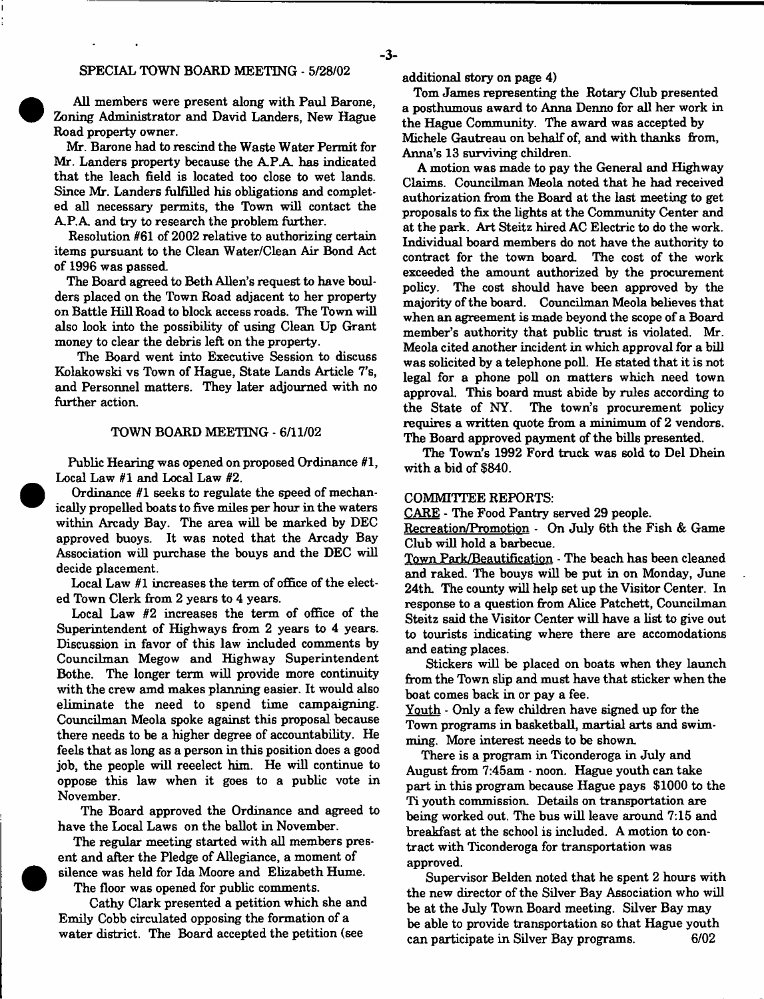# SPECIAL TOWN BOARD MEETING - 5/28/02

All members were present along with Paul Barone, Zoning Administrator and David Landers, New Hague Road property owner.

Mr. Barone had to rescind the Waste Water Permit for Mr. Landers property because the A.P.A. has indicated that the leach field is located too close to wet lands. Since Mr. Landers fulfilled his obligations and completed all necessary permits, the Town will contact the A.P.A. and try to research the problem further.

Resolution #61 of 2002 relative to authorizing certain items pursuant to the Clean Water/Clean Air Bond Act of 1996 was passed.

The Board agreed to Beth Allen's request to have boulders placed on the Town Road adjacent to her property on Battle Hill Road to block access roads. The Town will also look into the possibility of using Clean Up Grant money to clear the debris left on the property.

The Board went into Executive Session to discuss Kolakowski vs Town of Hague, State Lands Article 7's, and Personnel matters. They later adjourned with no further action.

#### TOWN BOARD MEETING - 6/11/02

Public Hearing was opened on proposed Ordinance #1, Local Law #1 and Local Law #2.

Ordinance #1 seeks to regulate the speed of mechanically propelled boats to five miles per hour in the waters within Arcady Bay. The area will be marked by DEC approved buoys. It was noted that the Arcady Bay Association will purchase the bouys and the DEC will decide placement.

Local Law #1 increases the term of office of the elected Town Clerk from 2 years to 4 years.

Local Law #2 increases the term of office of the Superintendent of Highways from 2 years to 4 years. Discussion in favor of this law included comments by Councilman Megow and Highway Superintendent Bothe. The longer term will provide more continuity with the crew amd makes planning easier. It would also eliminate the need to spend time campaigning. Councilman Meola spoke against this proposal because there needs to be a higher degree of accountability. He feels that as long as a person in this position does a good job, the people will reeelect him. He will continue to oppose this law when it goes to a public vote in November.

The Board approved the Ordinance and agreed to have the Local Laws on the ballot in November.

The regular meeting started with all members present and after the Pledge of Allegiance, a moment of silence was held for Ida Moore and Elizabeth Hume.

The floor was opened for public comments.

Cathy Clark presented a petition which she and Emily Cobb circulated opposing the formation of a water district. The Board accepted the petition (see

additional story on page 4)

Tom James representing the Rotary Club presented a posthumous award to Anna Denno for all her work in the Hague Community. The award was accepted by Michele Gautreau on behalf of, and with thanks from, Anna's 13 surviving children.

A motion was made to pay the General and Highway Claims. Councilman Meola noted that he had received authorization from the Board at the last meeting to get proposals to fix the lights at the Community Center and at the park. Art Steitz hired AC Electric to do the work. Individual board members do not have the authority to contract for the town board. The cost of the work exceeded the amount authorized by the procurement policy. The cost should have been approved by the majority of the board. Councilman Meola believes that when an agreement is made beyond the scope of a Board member's authority that public trust is violated. Mr. Meola cited another incident in which approval for a bill was solicited by a telephone poll. He stated that it is not legal for a phone poll on matters which need town approval. This board must abide by rules according to the State of NY. The town's procurement policy requires a written quote from a minimum of 2 vendors. The Board approved payment of the bills presented.

The Town's 1992 Ford truck was sold to Del Dhein with a bid of \$840.

#### COMMITTEE REPORTS:

CARE - The Food Pantry served 29 people.

Recreation/Promotion - On July 6th the Fish & Game Club will hold a barbecue.

Town Park/Beautification - The beach has been cleaned and raked. The bouys will be put in on Monday, June 24th. The county will help set up the Visitor Center. In response to a question from Alice Patchett, Councilman Steitz said the Visitor Center will have a list to give out to tourists indicating where there are accomodations and eating places.

Stickers will be placed on boats when they launch from the Town slip and must have that sticker when the boat comes back in or pay a fee.

Youth - Only a few children have signed up for the Town programs in basketball, martial arts and swimming. More interest needs to be shown.

There is a program in Ticonderoga in July and August from 7:45am - noon. Hague youth can take part in this program because Hague pays \$1000 to the Ti youth commission. Details on transportation are being worked out. The bus will leave around 7:15 and breakfast at the school is included. A motion to contract with Ticonderoga for transportation was approved.

Supervisor Belden noted that he spent 2 hours with the new director of the Silver Bay Association who will be at the July Town Board meeting. Silver Bay may be able to provide transportation so that Hague youth can participate in Silver Bay programs. 6/02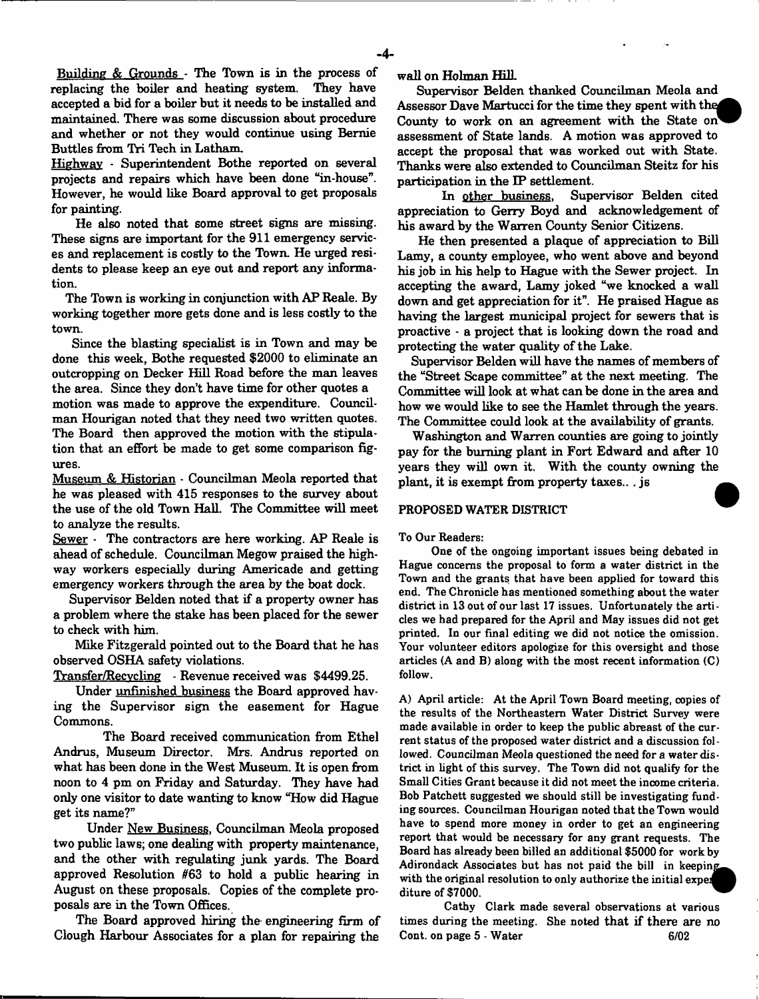Building  $&$  Grounds - The Town is in the process of replacing the boiler and heating system. They have accepted a bid for a boiler but it needs to be installed and maintained. There was some discussion about procedure and whether or not they would continue using Bernie Buttles from Tri Tech in Latham.

Highway - Superintendent Bothe reported on several projects and repairs which have been done "in-house". However, he would like Board approval to get proposals for painting.

He also noted that some street signs are missing. These signs are important for the 911 emergency services and replacement is costly to the Town. He urged residents to please keep an eye out and report any information.

The Town is working in conjunction with AP Reale. By working together more gets done and is less costly to the town.

Since the blasting specialist is in Town and may be done this week, Bothe requested \$2000 to eliminate an outcropping on Decker Hill Road before the man leaves the area. Since they don't have time for other quotes a

motion was made to approve the expenditure. Councilman Hourigan noted that they need two written quotes. The Board then approved the motion with the stipulation that an effort be made to get some comparison figures.

Museum & Historian - Councilman Meola reported that he was pleased with 415 responses to the survey about the use of the old Town Hall. The Committee will meet to analyze the results.

Sewer - The contractors are here working. AP Reale is ahead of schedule. Councilman Megow praised the highway workers especially during Americade and getting emergency workers through the area by the boat dock.

Supervisor Belden noted that if a property owner has a problem where the stake has been placed for the sewer to check with him.

Mike Fitzgerald pointed out to the Board that he has observed OSHA safety violations.

Transfer/Recvcling - Revenue received was \$4499.25.

Under unfinished business the Board approved having the Supervisor sign the easement for Hague Commons.

The Board received communication from Ethel Andrus, Museum Director. Mrs. Andrus reported on what has been done in the West Museum. It is open from noon to 4 pm on Friday and Saturday. They have had only one visitor to date wanting to know "How did Hague get its name?"

Under New Business. Councilman Meola proposed two public laws; one dealing with property maintenance, and the other with regulating junk yards. The Board approved Resolution #63 to hold a public hearing in August on these proposals. Copies of the complete proposals are in the Town Offices.

The Board approved hiring the engineering firm of Clough Harbour Associates for a plan for repairing the

wall on Holman Hill.

Supervisor Belden thanked Councilman Meola and Assessor Dave Martucci for the time they spent with the County to work on an agreement with the State on assessment of State lands. A motion was approved to accept the proposal that was worked out with State. Thanks were also extended to Councilman Steitz for his participation in the IP settlement.

In other business. Supervisor Belden cited appreciation to Gerry Boyd and acknowledgement of his award by the Warren County Senior Citizens.

He then presented a plaque of appreciation to Bill Lamy, a county employee, who went above and beyond his job in his help to Hague with the Sewer project. In accepting the award, Lamy joked "we knocked a wall down and get appreciation for it". He praised Hague as having the largest municipal project for sewers that is proactive - a project that is looking down the road and protecting the water quality of the Lake.

Supervisor Belden will have the names of members of the "Street Scape committee" at the next meeting. The Committee will look at what can be done in the area and how we would like to see the Hamlet through the years. The Committee could look at the availability of grants.

Washington and Warren counties are going to jointly pay for the burning plant in Fort Edward and after 10 years they will own it. With the county owning the plant, it is exempt from property taxes... js

#### PROPOSED WATER DISTRICT

#### To Our Readers:

One of the ongoing important issues being debated in Hague concerns the proposal to form a water district in the Town and the grants that have been applied for toward this end. The Chronicle has mentioned something about the water district in 13 out of our last 17 issues. Unfortunately the articles we had prepared for the April and May issues did not get printed. In our final editing we did not notice the omission. Your volunteer editors apologize for this oversight and those articles (A and B) along with the most recent information (C) follow.

A) April article: At the April Town Board meeting, copies of the results of the Northeastern Water District Survey were made available in order to keep the public abreast of the current status of the proposed water district and a discussion followed. Councilman Meola questioned the need for a water district in light of this survey. The Town did not qualify for the Small Cities Grant because it did not meet the income criteria. Bob Patchett suggested we should still be investigating funding sources. Councilman Hourigan noted that the Town would have to spend more money in order to get an engineering report that would be necessary for any grant requests. The Board has already been billed an additional \$5000 for work by Adirondack Associates but has not paid the bill in keeping with the original resolution to only authorize the initial exper diture of \$7000.

Cathy Clark made several observations at various times during the meeting. She noted that if there are no Cont. on page 5 - Water 6/02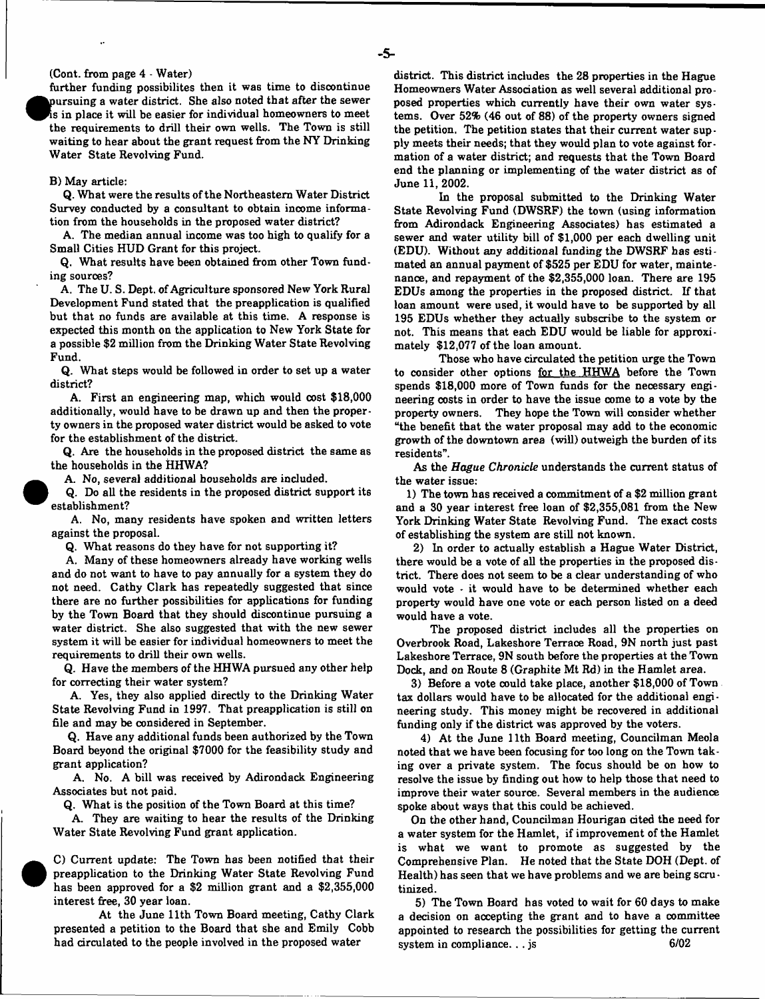#### (Cont. from page 4 - Water)

further funding possibilites then it was time to discontinue pursuing a water district. She also noted that after the sewer  $\frac{1}{2}$  is in place it will be easier for individual homeowners to meet the requirements to drill their own wells. The Town is still waiting to hear about the grant request from the NY Drinking Water State Revolving Fund.

#### B) May article:

Q. What were the results of the Northeastern Water District Survey conducted by a consultant to obtain income information from the households in the proposed water district?

A. The median annual income was too high to qualify for a Small Cities HUD Grant for this project.

Q. What results have been obtained from other Town funding souroes?

A. The U. S. Dept, of Agriculture sponsored New York Rural Development Fund stated that the preapplication is qualified but that no funds are available at this time. A response is expected this month on the application to New York State for a possible \$2 million from the Drinking Water State Revolving Fund.

Q. What steps would be followed in order to set up a water district?

A. First an engineering map, which would cost \$18,000 additionally, would have to be drawn up and then the property owners in the proposed water district would be asked to vote for the establishment of the district.

Q. Are the households in the proposed district the same as the households in the HHWA?

A. No, several additional households are included.

Q. Do all the residents in the proposed district support its establishment?

A. No, many residents have spoken and written letters against the proposal.

Q. What reasons do they have for not supporting it?

A. Many of these homeowners already have working wells and do not want to have to pay annually for a system they do not need. Cathy Clark has repeatedly suggested that since there are no further possibilities for applications for funding by the Town Board that they should discontinue pursuing a water district. She also suggested that with the new sewer system it will be easier for individual homeowners to meet the requirements to drill their own wells.

Q. Have the members of the HHWA pursued any other help for correcting their water system?

A. Yes, they also applied directly to the Drinking Water State Revolving Fund in 1997. That preapplication is still on file and may be considered in September.

Q. Have any additional funds been authorized by the Town Board beyond the original \$7000 for the feasibility study and grant application?

A. No. A bill was received by Adirondack Engineering Associates but not paid.

Q. What is the position of the Town Board at this time?

A. They are waiting to hear the results of the Drinking Water State Revolving Fund grant application.

 C) Current update: The Town has been notified that their preapplication to the Drinking Water State Revolving Fund has been approved for a \$2 million grant and a \$2,355,000 interest free, 30 year loan.

 $\bullet$ 

At the June 11th Town Board meeting, Cathy Clark presented a petition to the Board that she and Emily Cobb had circulated to the people involved in the proposed water

district. This district includes the 28 properties in the Hague Homeowners Water Association as well several additional proposed properties which currently have their own water systems. Over 52% (46 out of 88) of the property owners signed the petition. The petition states that their current water supply meets their needs; that they would plan to vote against formation of a water district; and requests that the Town Board end the planning or implementing of the water district as of June 11, 2002.

In the proposal submitted to the Drinking Water State Revolving Fund (DWSRF) the town (using information from Adirondack Engineering Associates) has estimated a sewer and water utility bill of \$1,000 per each dwelling unit (EDU). Without any additional funding the DWSRF has estimated an annual payment of \$525 per EDU for water, maintenance, and repayment of the \$2,355,000 loan. There are 195 EDUs among the properties in the proposed district. If that loan amount were used, it would have to be supported by all 195 EDUs whether they actually subscribe to the system or not. This means that each EDU would be liable for approximately \$12,077 of the loan amount.

Those who have circulated the petition urge the Town to consider other options for the HHWA before the Town spends \$18,000 more of Town funds for the necessary engineering costs in order to have the issue come to a vote by the property owners. They hope the Town will consider whether "the benefit that the water proposal may add to the economic growth of the downtown area (will) outweigh the burden of its residents".

As the *Hague Chronicle* understands the current status of the water issue:

1) The town has received a commitment of a \$2 million grant and a 30 year interest free loan of \$2,355,081 from the New York Drinking Water State Revolving Fund. The exact costs of establishing the system are still not known.

2) In order to actually establish a Hague Water District, there would be a vote of all the properties in the proposed district. There does not seem to be a clear understanding of who would vote - it would have to be determined whether each property would have one vote or each person listed on a deed would have a vote.

The proposed district includes all the properties on Overbrook Road, Lakeshore Terrace Road, 9N north just past Lakeshore Terrace, 9N south before the properties at the Town Dock, and on Route 8 (Graphite Mt Rd) in the Hamlet area.

3) Before a vote oould take place, another \$18,000 of Town tax dollars would have to be allocated for the additional engineering study. This money might be recovered in additional funding only if the district was approved by the voters.

4) At the June 11th Board meeting, Councilman Meola noted that we have been focusing for too long on the Town taking over a private system. The focus should be on how to resolve the issue by finding out how to help those that need to improve their water source. Several members in the audience spoke about ways that this could be achieved.

On the other hand, Councilman Hourigan cited the need for a water system for the Hamlet, if improvement of the Hamlet is what we want to promote as suggested by the Comprehensive Plan. He noted that the State DOH (Dept, of Health) has seen that we have problems and we are being scrutinized.

5) The Town Board has voted to wait for 60 days to make a decision on accepting the grant and to have a oommittee appointed to research the possibilities for getting the current system in compliance.  $\ldots$  js 6/02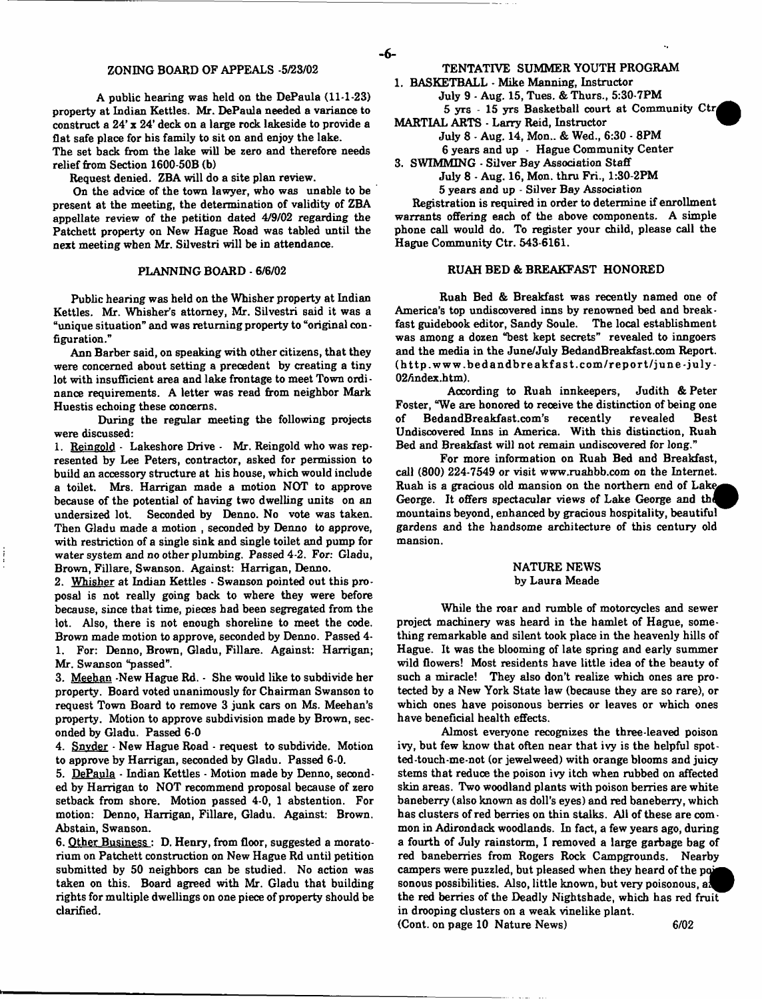A public hearing was held on the DePaula (11-1-23) property at Indian Kettles. Mr. DePaula needed a variance to construct a 24' x 24' deck on a large rock lakeside to provide a flat safe place for his family to sit on and enjoy the lake. The set back from the lake will be zero and therefore needs

relief from Section 1600-50B (b)

Request denied. ZBA will do a site plan review.

On the advice of the town lawyer, who was unable to be present at the meeting, the determination of validity of ZBA appellate review of the petition dated 4/9/02 regarding the Patchett property on New Hague Road was tabled until the next meeting when Mr. Silvestri will be in attendance.

Public hearing was held on the Whisher property at Indian Kettles. Mr. Whisher's attorney, Mr. Silvestri said it was a "unique situation" and was returning property to "original configuration."

Ann Barber said, on speaking with other citizens, that they were concerned about setting a precedent by creating a tiny lot with insufficient area and lake frontage to meet Town ordi nance requirements. A letter was read from neighbor Mark Huestis echoing these concerns.

During the regular meeting the following projects were discussed:

1. Reingold - Lakeshore Drive - Mr. Reingold who was represented by Lee Peters, contractor, asked for permission to build an accessory structure at his house, which would include a toilet. Mrs. Harrigan made a motion NOT to approve because of the potential of having two dwelling units on an undersized lot. Seconded by Denno. No vote was taken. Then Gladu made a motion , seconded by Denno to approve, with restriction of a single sink and single toilet and pump for water system and no other plumbing. Passed 4-2. For: Gladu, Brown, Fillare, Swanson. Against: Harrigan, Denno.

2. Whisher at Indian Kettles - Swanson pointed out this proposal is not really going back to where they were before because, since that time, pieces had been segregated from the lot. Also, there is not enough shoreline to meet the code. Brown made motion to approve, seconded by Denno. Passed 4- 1. For: Denno, Brown, Gladu, Fillare. Against: Harrigan; Mr. Swanson "passed".

3. Meehan -New Hague Rd. - She would like to subdivide her property. Board voted unanimously for Chairman Swanson to request Town Board to remove 3 junk cars on Ms. Meehan's property. Motion to approve subdivision made by Brown, seconded by Gladu. Passed 6-0

4. Snyder - New Hague Road - request to subdivide. Motion to approve by Harrigan, seconded by Gladu. Passed 6-0.

5. DePaula • Indian Kettles - Motion made by Denno, seconded by Harrigan to NOT recommend proposal because of zero setback from shore. Motion passed 4-0, 1 abstention. For motion: Denno, Harrigan, Fillare, Gladu. Against: Brown. Abstain, Swanson.

6. Other Business : D. Henry, from floor, suggested a moratorium on Patchett construction on New Hague Rd until petition submitted by 50 neighbors can be studied. No action was taken on this. Board agreed with Mr. Gladu that building rights for multiple dwellings on one piece of property should be clarified.

1. BASKETBALL - Mike Manning, Instructor

- July 9 Aug. 15, Tues. & Thurs., 5:30-7PM 5 yrs - 15 yrs Basketball court at Community Ctr|
- MARTIAL ARTS Larry Reid, Instructor

- **6**-

- July 8 Aug. 14, Mon.. & Wed., 6:30 8PM
	- 6 years and up Hague Community Center
- 3. SWIMMING Silver Bay Association Staff July 8 - Aug. 16, Mon. thru Fri., 1:30-2PM

5 years and up - Silver Bay Association

Registration is required in order to determine if enrollment warrants offering each of the above components. A simple phone call would do. To register your child, please call the Hague Community Ctr. 543-6161.

#### PLANNING BOARD - 6/6/02 RUAH BED & BREAKFAST HONORED

Ruah Bed & Breakfast was recently named one of America's top undiscovered inns by renowned bed and breakfast guidebook editor, Sandy Soule. The local establishment was among a dozen "best kept secrets" revealed to inngoers and the media in the June/July BedandBreakfast.com Report. ([http.www.bedandbreakfast.com/report/june-july-](http://http.www.bedandbreakfast.com/report/june-july-)02/index.htm).

According to Ruah innkeepers, Judith & Peter Foster, "We are honored to receive the distinction of being one of BedandBreakfast.com's recently revealed Best Undiscovered Inns in America. With this distinction, Ruah Bed and Breakfast will not remain undiscovered for long."

For more information on Ruah Bed and Breakfast, call (800) 224-7549 or visit [www.ruahbb.com](http://www.ruahbb.com) on the Internet. Ruah is a gracious old mansion on the northern end of Lak<^ George. It offers spectacular views of Lake George and the mountains beyond, enhanced by gracious hospitality, beautiful gardens and the handsome architecture of this century old mansion.

#### NATURE NEWS by Laura Meade

While the roar and rumble of motorcycles and sewer project machinery was heard in the hamlet of Hague, something remarkable and silent took place in the heavenly hills of Hague. It was the blooming of late spring and early summer wild flowers! Most residents have little idea of the beauty of such a miracle! They also don't realize which ones are protected by a New York State law (because they are so rare), or which ones have poisonous berries or leaves or which ones have beneficial health effects.

Almost everyone recognizes the three-leaved poison ivy, but few know that often near that ivy is the helpful spotted-touch-me-not (or jewelweed) with orange blooms and juicy stems that reduce the poison ivy itch when rubbed on affected skin areas. Two woodland plants with poison berries are white baneberry (also known as doll's eyes) and red baneberry, which has clusters of red berries on thin stalks. All of these are common in Adirondack woodlands. In fact, a few years ago, during a fourth of July rainstorm, I removed a large garbage bag of red baneberries from Rogers Rock Campgrounds. Nearby campers were puzzled, but pleased when they heard of the poi sonous possibilities. Also, little known, but very poisonous, al the red berries of the Deadly Nightshade, which has red fruit in drooping clusters on a weak vinelike plant. (Cont. on page 10 Nature News) 6/02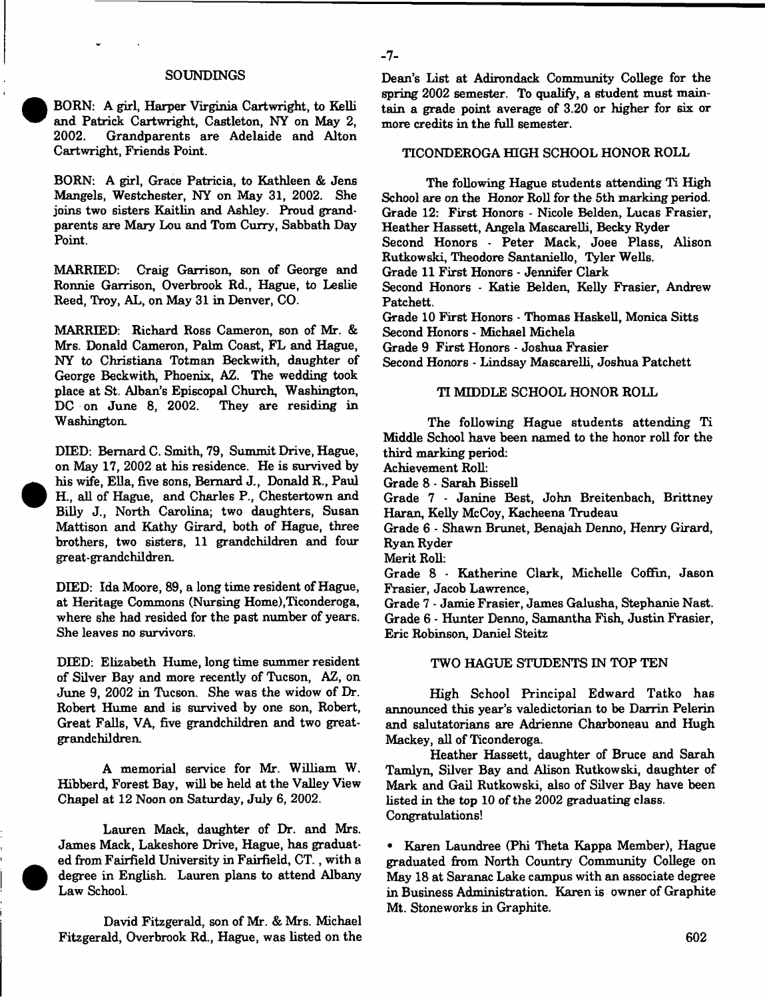#### SOUNDINGS

BORN: A girl, Harper Virginia Cartwright, to Kelli and Patrick Cartwright, Castleton, NY on May 2, Grandparents are Adelaide and Alton Cartwright, Friends Point.

BORN: A girl, Grace Patricia, to Kathleen & Jens Mangels, Westchester, NY on May 31, 2002. She joins two sisters Kaitlin and Ashley. Proud grandparents are Mary Lou and Tom Curry, Sabbath Day Point.

MARRIED: Craig Garrison, son of George and Ronnie Garrison, Overbrook Rd., Hague, to Leslie Reed, Troy, AL, on May 31 in Denver, CO.

MARRIED: Richard Ross Cameron, son of Mr. & Mrs. Donald Cameron, Palm Coast, FL and Hague, NY to Christiana Totman Beckwith, daughter of George Beckwith, Phoenix, AZ. The wedding took place at St. Alban's Episcopal Church, Washington, DC on June 8, 2002. They are residing in Washington.

DIED: Bernard C. Smith, 79, Summit Drive, Hague, on May 17, 2002 at his residence. He is survived by his wife, Ella, five sons, Bernard J., Donald R., Paul H., all of Hague, and Charles P., Chestertown and Billy J., North Carolina; two daughters, Susan Mattison and Kathy Girard, both of Hague, three brothers, two sisters, 11 grandchildren and four great-grandchildren.

DIED: Ida Moore, 89, a long time resident of Hague, at Heritage Commons (Nursing Home),Ticonderoga, where she had resided for the past number of years. She leaves no survivors.

DIED: Elizabeth Hume, long time summer resident of Silver Bay and more recently of Tucson, AZ, on June 9, 2002 in Tucson. She was the widow of Dr. Robert Hume and is survived by one son, Robert, Great Falls, VA, five grandchildren and two greatgrandchildren.

A memorial service for Mr. William W. Hibberd, Forest Bay, will be held at the Valley View Chapel at 12 Noon on Saturday, July 6, 2002.

Lauren Mack, daughter of Dr. and Mrs. James Mack, Lakeshore Drive, Hague, has graduated from Fairfield University in Fairfield, CT., with a degree in English. Lauren plans to attend Albany Law School.

David Fitzgerald, son of Mr. & Mrs. Michael Fitzgerald, Overbrook Rd., Hague, was listed on the Dean's List at Adirondack Community College for the spring 2002 semester. To qualify, a student must maintain a grade point average of 3.20 or higher for six or more credits in the full semester.

#### TICONDEROGA HIGH SCHOOL HONOR ROLL

The following Hague students attending Ti High School are on the Honor Roll for the 5th marking period. Grade 12: First Honors - Nicole Belden, Lucas Frasier, Heather Hassett, Angela Mascarelli, Becky Ryder

Second Honors - Peter Mack, Joee Plass, Alison Rutkowski, Theodore Santaniello, Tyler Wells.

Grade 11 First Honors - Jennifer Clark

Second Honors - Katie Belden, Kelly Frasier, Andrew Patchett.

Grade 10 First Honors - Thomas Haskell, Monica Sitts Second Honors - Michael Michela

Grade 9 First Honors - Joshua Frasier

Second Honors - Lindsay Mascarelli, Joshua Patchett

#### TI MIDDLE SCHOOL HONOR ROLL

The following Hague students attending Ti Middle School have been named to the honor roll for the third marking period:

Achievement Roll:

Grade 8 - Sarah Bissell

Grade 7 - Janine Best, John Breitenbach, Brittney Haran, Kelly McCoy, Kacheena Trudeau

Grade 6 - Shawn Brunet, Benajah Denno, Henry Girard, Ryan Ryder

Merit Roll:

- **7**-

Grade 8 - Katherine Clark, Michelle Coffin, Jason Frasier, Jacob Lawrence,

Grade 7 - Jamie Frasier, James Galusha, Stephanie Nast. Grade 6 - Hunter Denno, Samantha Fish, Justin Frasier, Eric Robinson, Daniel Steitz

#### TWO HAGUE STUDENTS IN TOP TEN

High School Principal Edward Tatko has announced this year's valedictorian to be Darrin Pelerin and salutatorians are Adrienne Charboneau and Hugh Mackey, all of Ticonderoga.

Heather Hassett, daughter of Bruce and Sarah Tamlyn, Silver Bay and Alison Rutkowski, daughter of Mark and Gail Rutkowski, also of Silver Bay have been listed in the top 10 of the 2002 graduating class. Congratulations!

• Karen Laundree (Phi Theta Kappa Member), Hague graduated from North Country Community College on May 18 at Saranac Lake campus with an associate degree in Business Administration. Karen is owner of Graphite Mt. Stoneworks in Graphite.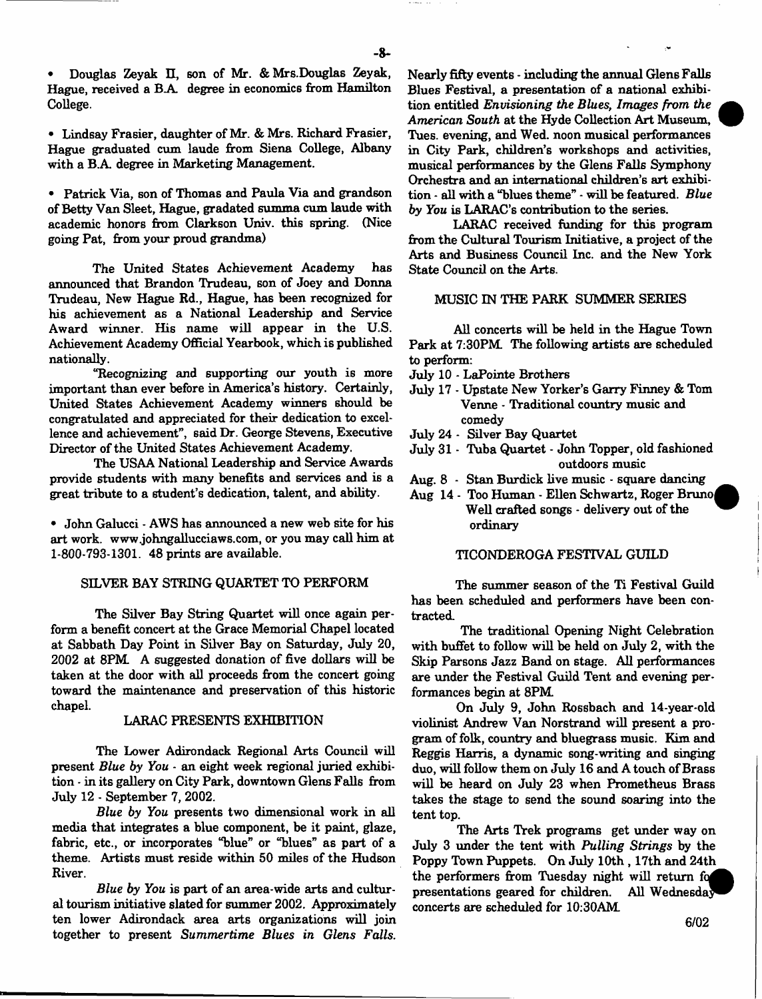Douglas Zeyak II, son of Mr. & Mrs.Douglas Zeyak, Hague, received a B.A degree in economics from Hamilton College.

• Lindsay Frasier, daughter of Mr. & Mrs. Richard Frasier, Hague graduated cum laude from Siena College, Albany with a B.A. degree in Marketing Management.

• Patrick Via, son of Thomas and Paula Via and grandson of Betty Van Sleet, Hague, gradated summa cum laude with academic honors from Clarkson Univ. this spring. (Nice going Pat, from your proud grandma)

The United States Achievement Academy has announced that Brandon Trudeau, son of Joey and Donna Trudeau, New Hague Rd., Hague, has been recognized for his achievement as a National Leadership and Service Award winner. His name will appear in the U.S. Achievement Academy Official Yearbook, which is published nationally.

"Recognizing and supporting our youth is more important than ever before in America's history. Certainly, United States Achievement Academy winners should be congratulated and appreciated for their dedication to excellence and achievement", said Dr. George Stevens, Executive Director of the United States Achievement Academy.

The USAA National Leadership and Service Awards provide students with many benefits and services and is a great tribute to a student's dedication, talent, and ability.

• John Galucci - AWS has announced a new web site for his art work, [www.johngallucciaws.com](http://www.johngallucciaws.com), or you may call him at 1-800-793-1301. 48 prints are available.

# SILVER BAY STRING QUARTET TO PERFORM

The Silver Bay String Quartet will once again perform a benefit concert at the Grace Memorial Chapel located at Sabbath Day Point in Silver Bay on Saturday, July 20, 2002 at 8PM. A suggested donation of five dollars will be taken at the door with all proceeds from the concert going toward the maintenance and preservation of this historic chapel.

#### LARAC PRESENTS EXHIBITION

The Lower Adirondack Regional Arts Council will present *Blue by You* - an eight week regional juried exhibition - in its gallery on City Park, downtown Glens Falls from July 12 - September 7, 2002.

*Blue by You* presents two dimensional work in all media that integrates a blue component, be it paint, glaze, fabric, etc., or incorporates "blue" or "blues" as part of a theme. Artists must reside within 50 miles of the Hudson River.

*Blue by You* is part of an area-wide arts and cultural tourism initiative slated for summer 2002. Approximately ten lower Adirondack area arts organizations will join together to present *Summertime Blues in Glens Falls.*

Nearly fifty events - including the annual Glens Falls Blues Festival, a presentation of a national exhibition entitled *Envisioning the Blues, Images from the American South* at the Hyde Collection Art Museum, Tues. evening, and Wed. noon musical performances in City Park, children's workshops and activities, musical performances by the Glens Falls Symphony Orchestra and an international children's art exhibition - all with a "blues theme" - will be featured. *Blue by You* is LARAC's contribution to the series.

LARAC received funding for this program from the Cultural Tourism Initiative, a project of the Arts and Business Council Inc. and the New York State Council on the Arts.

#### MUSIC IN THE PARK SIMMER SERIES

All concerts will be held in the Hague Town Park at 7:30PM The following artists are scheduled to perform:

- July 10 LaPointe Brothers
- July 17 Upstate New Yorker's Garry Finney & Tom Venne - Traditional country music and comedy
- July 24 Silver Bay Quartet
- July 31 Tuba Quartet John Topper, old fashioned outdoors music
- Aug. 8 Stan Burdick live music square dancing
- Aug 14 Too Human Ellen Schwartz, Roger Brunoj Well crafted songs - delivery out of the ordinary

#### TICONDEROGA FESTIVAL GUILD

The summer season of the Ti Festival Guild has been scheduled and performers have been contracted.

The traditional Opening Night Celebration with buffet to follow will be held on July 2, with the Skip Parsons Jazz Band on stage. All performances are under the Festival Guild Tent and evening performances begin at 8PM

On July 9, John Rossbach and 14-year-old violinist Andrew Van Norstrand will present a program of folk, country and bluegrass music. Kim and Reggis Harris, a dynamic song-writing and singing duo, will follow them on July 16 and A touch of Brass will be heard on July 23 when Prometheus Brass takes the stage to send the sound soaring into the tent top.

The Arts Trek programs get under way on July 3 under the tent with *Pulling Strings* by the Poppy Town Puppets. On July 10th , 17th and 24th the performers from Tuesday night will return *fod* presentations geared for children. All Wednesda^ concerts are scheduled for 10:30AM

6/02

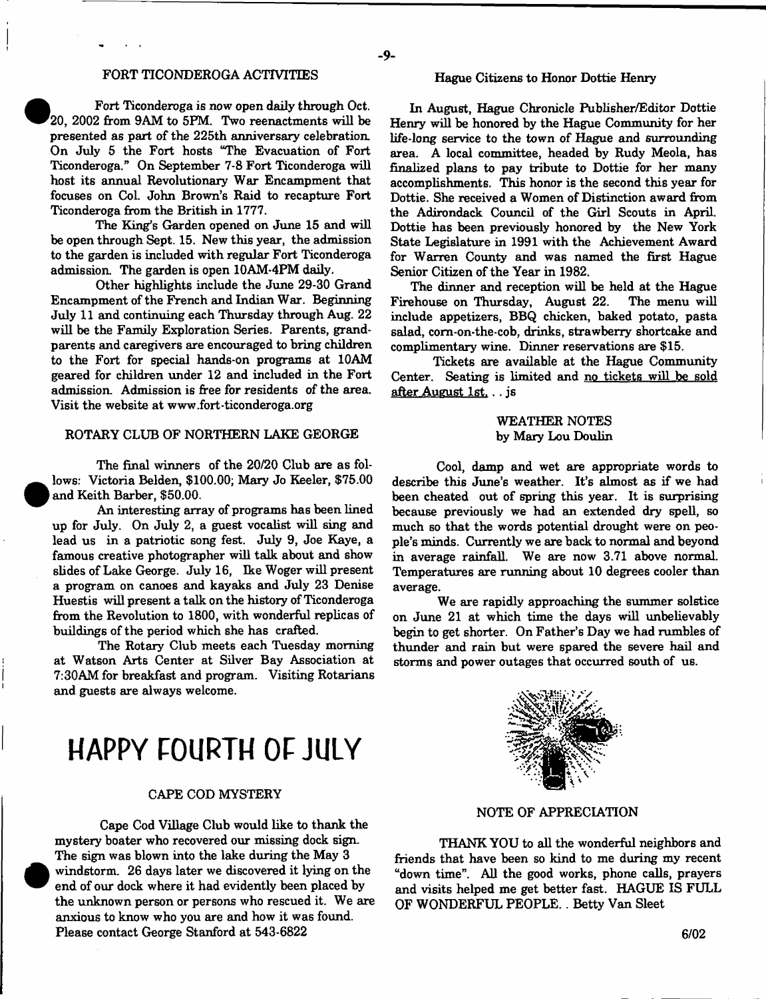# FORT TICONDEROGA ACTIVITEES

 Fort Ticonderoga is now open daily through Oct, 20, 2002 from 9AM to 5PM. Two reenactments will be presented as part of the 225th anniversary celebration. On July 5 the Fort hosts "The Evacuation of Fort Ticonderoga." On September 7-8 Fort Ticonderoga will host its annual Revolutionary War Encampment that focuses on Col. John Brown's Raid to recapture Fort Ticonderoga from the British in 1777.

**e** 

 $\bullet$ 

•

The King's Garden opened on June 15 and will be open through Sept. 15. New this year, the admission to the garden is included with regular Fort Ticonderoga admission. The garden is open 10AM-4PM daily.

Other highlights include the June 29-30 Grand Encampment of the French and Indian War. Beginning July 11 and continuing each Thursday through Aug. 22 will be the Family Exploration Series. Parents, grandparents and caregivers are encouraged to bring children to the Fort for special hands-on programs at 10AM geared for children under 12 and included in the Fort admission. Admission is free for residents of the area. Visit the website at [www.fort-ticonderoga.org](http://www.fort-ticonderoga.org)

#### ROTARY CLUB OF NORTHERN LAKE GEORGE

The final winners of the 20/20 Club are as fol lows: Victoria Belden, \$100.00; Mary Jo Keeler, \$75.00 and Keith Barber, \$50.00.

An interesting array of programs has been lined up for July. On July 2, a guest vocalist will sing and lead us in a patriotic song fest. July 9, Joe Kaye, a famous creative photographer will talk about and show slides of Lake George. July 16, Ike Woger will present a program on canoes and kayaks and July 23 Denise Huestis will present a talk on the history of Ticonderoga from the Revolution to 1800, with wonderful replicas of buildings of the period which she has crafted.

The Rotary Club meets each Tuesday morning at Watson Arts Center at Silver Bay Association at 7:30AM for breakfast and program. Visiting Rotarians and guests are always welcome.

# **HAPPY FOURTH OF JULY**

# CAPE COD MYSTERY

Cape Cod Village Club would like to thank the mystery boater who recovered our missing dock sign. The sign was blown into the lake during the May 3 windstorm. 26 days later we discovered it lying on the end of our dock where it had evidently been placed by the unknown person or persons who rescued it. We are anxious to know who you are and how it was found. Please contact George Stanford at 543-6822

#### Hague Citizens to Honor Dottie Henry

In August, Hague Chronicle Publisher/Editor Dottie Henry will be honored by the Hague Community for her life-long service to the town of Hague and surrounding area. A local committee, headed by Rudy Meola, has finalized plans to pay tribute to Dottie for her many accomplishments. This honor is the second this year for Dottie. She received a Women of Distinction award from the Adirondack Council of the Girl Scouts in April. Dottie has been previously honored by the New York State Legislature in 1991 with the Achievement Award for Warren County and was named the first Hague Senior Citizen of the Year in 1982.

The dinner and reception will be held at the Hague Firehouse on Thursday, August 22. The menu will include appetizers, BBQ chicken, baked potato, pasta salad, com-on-the-cob, drinks, strawberry shortcake and complimentary wine. Dinner reservations are \$15.

Tickets are available at the Hague Community Center. Seating is limited and no tickets will be sold after August 1st... js

# WEATHER NOTES by Mary Lou Doulin

Cool, damp and wet are appropriate words to describe this June's weather. It's almost as if we had been cheated out of spring this year. It is surprising because previously we had an extended dry spell, so much so that the words potential drought were on people's minds. Currently we are back to normal and beyond in average rainfall. We are now 3.71 above normal. Temperatures are running about 10 degrees cooler than average.

We are rapidly approaching the summer solstice on June 21 at which time the days will unbelievably begin to get shorter. On Father's Day we had rumbles of thunder and rain but were spared the severe hail and storms and power outages that occurred south of us.



NOTE OF APPRECIATION

THANK YOU to all the wonderful neighbors and friends that have been so kind to me during my recent "down time". All the good works, phone calls, prayers and visits helped me get better fast. HAGUE IS FULL OF WONDERFUL PEOPLE.. Betty Van Sleet